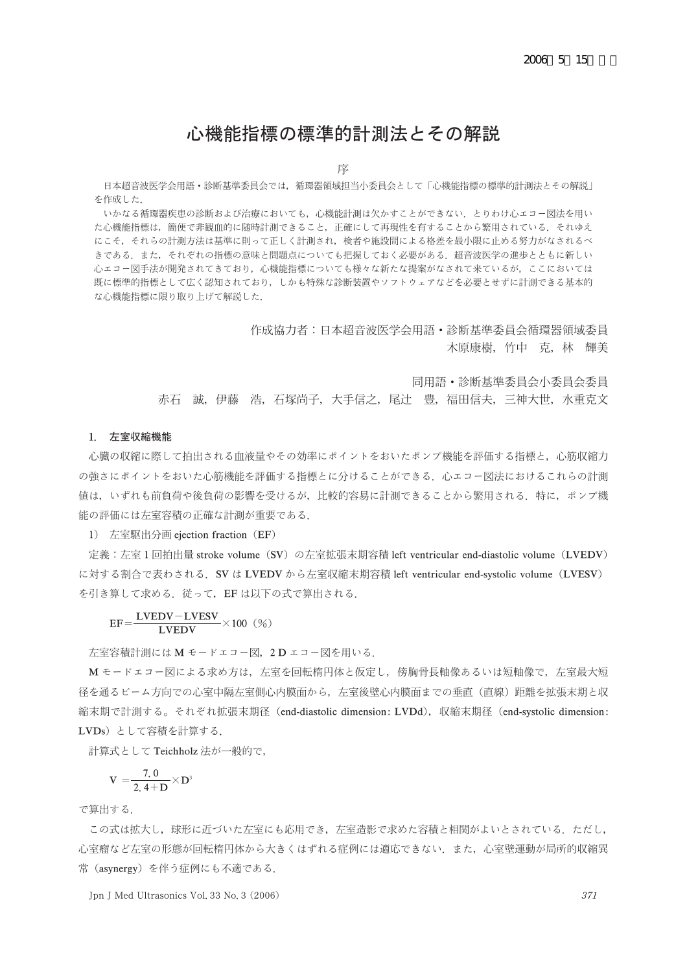# 心機能指標の標準的計測法とその解説

序

日本超音波医学会用語・診断基準委員会では, 循環器領域担当小委員会として 「心機能指標の標準的計測法とその解説」 を作成した.

いかなる循環器疾患の診断および治療においても, 心機能計測は欠かすことができない. とりわけ心エコー図法を用い た心機能指標は, 簡便で非観血的に随時計測できること, 正確にして再現性を有することから繁用されている. それゆえ にこそ, それらの計測方法は基準に則って正しく計測され, 検者や施設間による格差を最小限に止める努力がなされるべ きである. また, それぞれの指標の意味と問題点についても把握しておく必要がある. 超音波医学の進歩とともに新しい 心エコー図手法が開発されてきており, 心機能指標についても様々な新たな提案がなされて来ているが, ここにおいては 既に標準的指標として広く認知されており, しかも特殊な診断装置やソフトウェアなどを必要とせずに計測できる基本的 な心機能指標に限り取り上げて解説した.

> 作成協力者:日本超音波医学会用語 • 診断基準委員会循環器領域委員 木原康樹, 竹中 克, 林 輝美

> > 同用語・診断基準委員会小委員会委員

赤石 誠, 伊藤 浩, 石塚尚子, 大手信之, 尾辻 豊, 福田信夫, 三神大世, 水重克文

#### **1**. 左室収縮機能

心臓の収縮に際して拍出される血液量やその効率にポイントをおいたポンプ機能を評価する指標と, 心筋収縮力 の強さにポイントをおいた心筋機能を評価する指標とに分けることができる. 心エコー図法におけるこれらの計測 値は, いずれも前負荷や後負荷の影響を受けるが, 比較的容易に計測できることから繁用される. 特に, ポンプ機 能の評価には左室容積の正確な計測が重要である.

1) 左室駆出分画 ejection fraction (EF)

定義:左室 1 回拍出量 stroke volume (SV) の左室拡張末期容積 left ventricular end-diastolic volume (LVEDV) に対する割合で表わされる. SV は LVEDV から左室収縮末期容積 left ventricular end-systolic volume (LVESV) を引き算して求める. 従って, EF は以下の式で算出される.

$$
EF\!=\!\frac{LVEDV\!-\!LVESV}{LVEDV}\!\times\!100~(\%)
$$

左室容積計測には M モードエコー図, 2 D エコー図を用いる.

M モードエコー図による求め方は, 左室を回転楕円体と仮定し, 傍胸骨長軸像あるいは短軸像で, 左室最大短 径を通るビーム方向での心室中隔左室側心内膜面から, 左室後壁心内膜面までの垂直 (直線) 距離を拡張末期と収 縮末期で計測する。 それぞれ拡張末期径 (end-diastolic dimension : LVDd), 収縮末期径 (end-systolic dimension : LVDs) として容積を計算する.

計算式として Teichholz 法が一般的で,

$$
V=\frac{7.0}{2.4\!+\!D}\!\!\times\!D^3
$$

で算出する.

この式は拡大し, 球形に近づいた左室にも応用でき, 左室造影で求めた容積と相関がよいとされている. ただし, 心室瘤など左室の形態が回転楕円体から大きくはずれる症例には適応できない. また, 心室壁運動が局所的収縮異 常 (asynergy) を伴う症例にも不適である.

Jpn J Med Ultrasonics Vol.33 No.3 (2006) 371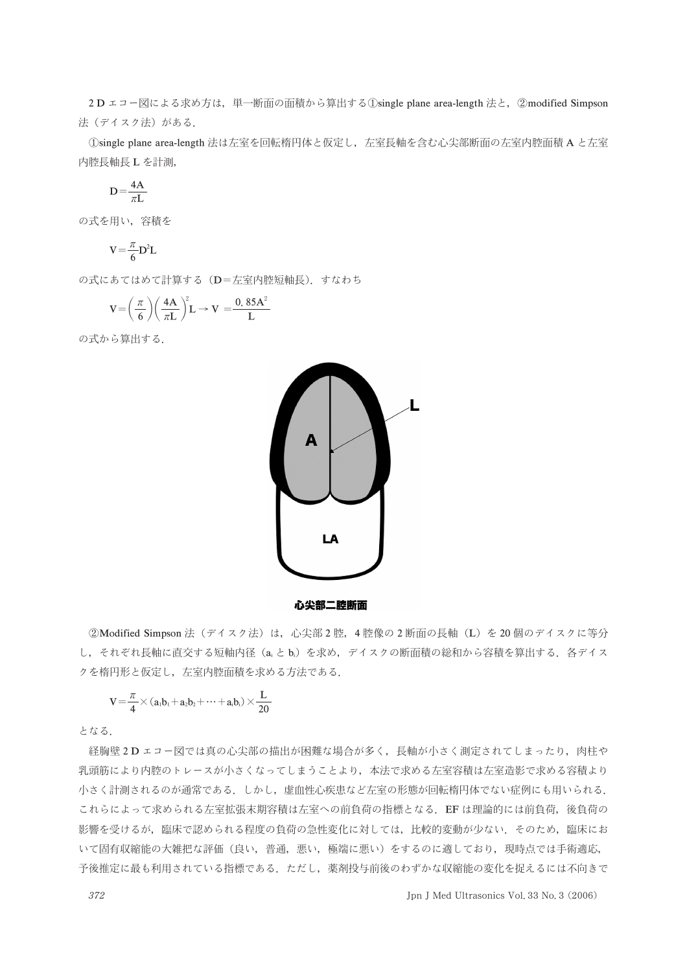2 D エコー図による求め方は, 単一断面の面積から算出する①single plane area-length 法と, ②modified Simpson 法 (デイスク法) がある.

①single plane area-length 法は左室を回転楕円体と仮定し, 左室長軸を含む心尖部断面の左室内腔面積 A と左室 内腔長軸長 L を計測,

$$
D\!=\!\frac{4A}{\pi L}
$$

の式を用い, 容積を

$$
V\!=\!\frac{\pi}{6}D^2L
$$

の式にあてはめて計算する (D=左室内腔短軸長). すなわち

$$
V = \left(\frac{\pi}{6}\right) \left(\frac{4A}{\pi L}\right)^2 L \rightarrow V = \frac{0.85A^2}{L}
$$

の式から算出する.



心尖部二腔断面

②Modified Simpson 法 (デイスク法) は, 心尖部 2 腔, 4 腔像の 2 断面の長軸 (L) を 20 個のデイスクに等分 し, それぞれ長軸に直交する短軸内径 (ai と bi) を求め, デイスクの断面積の総和から容積を算出する. 各デイス クを楕円形と仮定し, 左室内腔面積を求める方法である.

$$
V\!=\!\frac{\pi}{4}\!\times\!(a_ib_1\!+\!a_2b_2\!+\!\cdots\!+\!a_ib_i)\!\times\!\frac{L}{20}
$$

となる.

経胸壁 2 D エコー図では真の心尖部の描出が困難な場合が多く, 長軸が小さく測定されてしまったり, 肉柱や 乳頭筋により内腔のトレースが小さくなってしまうことより, 本法で求める左室容積は左室造影で求める容積より 小さく計測されるのが通常である. しかし, 虚血性心疾患など左室の形態が回転楕円体でない症例にも用いられる. これらによって求められる左室拡張末期容積は左室への前負荷の指標となる. EF は理論的には前負荷, 後負荷の 影響を受けるが, 臨床で認められる程度の負荷の急性変化に対しては, 比較的変動が少ない. そのため, 臨床にお いて固有収縮能の大雑把な評価 (良い, 普通, 悪い, 極端に悪い) をするのに適しており, 現時点では手術適応, 予後推定に最も利用されている指標である. ただし, 薬剤投与前後のわずかな収縮能の変化を捉えるには不向きで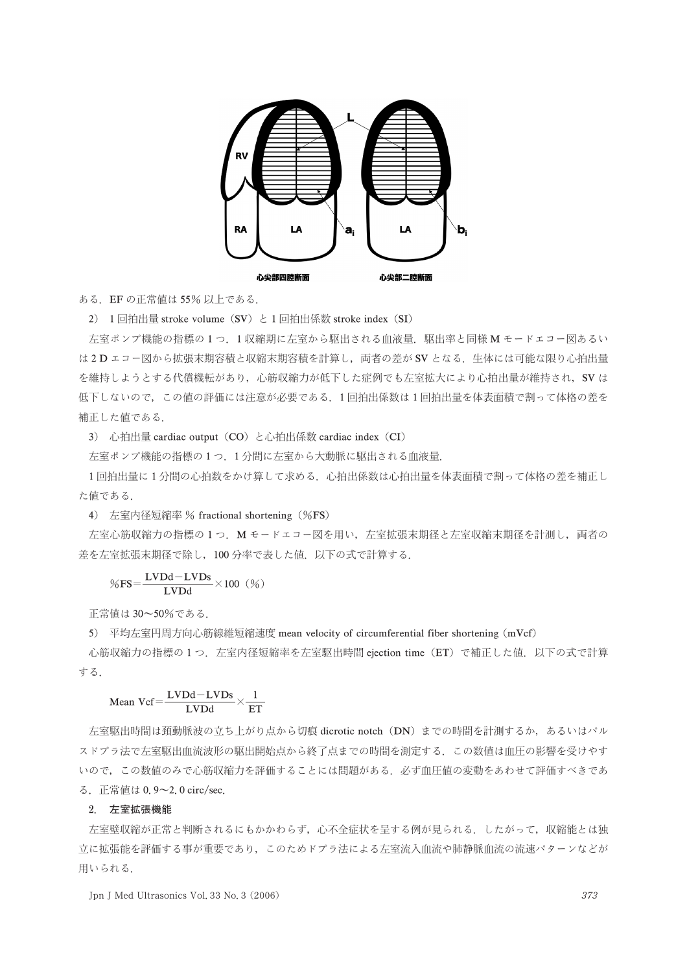

ある. EF の正常値は 55% 以上である.

2) 1 回拍出量 stroke volume (SV) と 1 回拍出係数 stroke index (SI)

左室ポンプ機能の指標の 1 つ. 1 収縮期に左室から駆出される血液量. 駆出率と同様 M モードエコー図あるい は 2 D エコー図から拡張末期容積と収縮末期容積を計算し, 両者の差が SV となる. 生体には可能な限り心拍出量 を維持しようとする代償機転があり, 心筋収縮力が低下した症例でも左室拡大により心拍出量が維持され, SV は 低下しないので, この値の評価には注意が必要である. 1 回拍出係数は 1 回拍出量を体表面積で割って体格の差を 補正した値である.

3) 心拍出量 cardiac output (CO) と心拍出係数 cardiac index (CI)

左室ポンプ機能の指標の 1 つ. 1 分間に左室から大動脈に駆出される血液量.

1 回拍出量に 1 分間の心拍数をかけ算して求める. 心拍出係数は心拍出量を体表面積で割って体格の差を補正し た値である.

4) 左室内径短縮率 % fractional shortening (%FS)

左室心筋収縮力の指標の 1 つ. M モードエコー図を用い, 左室拡張末期径と左室収縮末期径を計測し, 両者の 差を左室拡張末期径で除し, 100 分率で表した値. 以下の式で計算する.

$$
\%FS\!=\!\frac{LVDd\!-\!LVDs}{LVDd}\!\times\!100~(\%)
$$

正常値は 30~50%である.

5) 平均左室円周方向心筋線維短縮速度 mean velocity of circumferential fiber shortening (mVcf)

心筋収縮力の指標の 1 つ. 左室内径短縮率を左室駆出時間 ejection time (ET) で補正した値. 以下の式で計算 する.

$$
\text{Mean Vcf} \!=\! \frac{\text{LVDd}-\text{LVDs}}{\text{LVDd}} \!\times\! \frac{1}{\text{ET}}
$$

左室駆出時間は頚動脈波の立ち上がり点から切痕 dicrotic notch (DN) までの時間を計測するか, あるいはパル スドプラ法で左室駆出血流波形の駆出開始点から終了点までの時間を測定する. この数値は血圧の影響を受けやす いので, この数値のみで心筋収縮力を評価することには問題がある. 必ず血圧値の変動をあわせて評価すべきであ る. 正常値は 0.9~2.0 circ/sec.

### **2**. 左室拡張機能

左室壁収縮が正常と判断されるにもかかわらず, 心不全症状を呈する例が見られる. したがって, 収縮能とは独 立に拡張能を評価する事が重要であり, このためドプラ法による左室流入血流や肺静脈血流の流速パターンなどが 用いられる.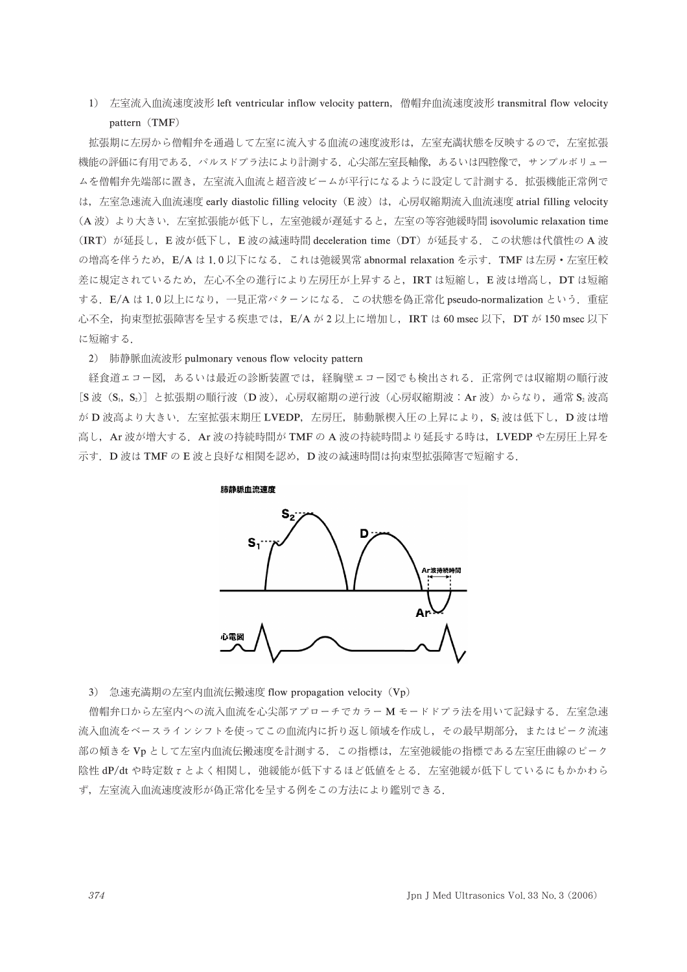## 1) 左室流入血流速度波形 left ventricular inflow velocity pattern, 僧帽弁血流速度波形 transmitral flow velocity pattern (TMF)

拡張期に左房から僧帽弁を通過して左室に流入する血流の速度波形は, 左室充満状態を反映するので, 左室拡張 機能の評価に有用である. パルスドプラ法により計測する. 心尖部左室長軸像, あるいは四腔像で, サンプルボリュー ムを僧帽弁先端部に置き, 左室流入血流と超音波ビームが平行になるように設定して計測する. 拡張機能正常例で は, 左室急速流入血流速度 early diastolic filling velocity (E 波) は, 心房収縮期流入血流速度 atrial filling velocity (A 波) より大きい. 左室拡張能が低下し, 左室弛緩が遅延すると, 左室の等容弛緩時間 isovolumic relaxation time (IRT) が延長し, E 波が低下し, E 波の減速時間 deceleration time (DT) が延長する. この状態は代償性の A 波 の増高を伴うため、E/A は1.0 以下になる. これは弛緩異常 abnormal relaxation を示す. TMF は左房・左室圧較 差に規定されているため, 左心不全の進行により左房圧が上昇すると, IRT は短縮し, E 波は増高し, DT は短縮 する. E/A は 1.0 以上になり, 一見正常パターンになる. この状態を偽正常化 pseudo-normalization という. 重症 心不全, 拘束型拡張障害を呈する疾患では, E/A が 2 以上に増加し, IRT は 60 msec 以下, DT が 150 msec 以下 に短縮する.

#### 2) 肺静脈血流波形 pulmonary venous flow velocity pattern

経食道エコー図, あるいは最近の診断装置では, 経胸壁エコー図でも検出される. 正常例では収縮期の順行波 [S 波 (S<sub>i</sub>, S<sub>2</sub>)] と拡張期の順行波 (D 波), 心房収縮期の逆行波 (心房収縮期波: Ar 波) からなり, 通常 S<sub>2</sub> 波高 が D 波高より大きい. 左室拡張末期圧 LVEDP, 左房圧, 肺動脈楔入圧の上昇により, S2 波は低下し, D 波は増 高し, Ar 波が増大する. Ar 波の持続時間が TMF の A 波の持続時間より延長する時は, LVEDP や左房圧上昇を 示す. D 波は TMF の E 波と良好な相関を認め, D 波の減速時間は拘束型拡張障害で短縮する.





3) 急速充満期の左室内血流伝搬速度 flow propagation velocity (Vp)

僧帽弁口から左室内への流入血流を心尖部アプローチでカラー M モードドプラ法を用いて記録する. 左室急速 流入血流をベースラインシフトを使ってこの血流内に折り返し領域を作成し, その最早期部分, またはピーク流速 部の傾きを Vp として左室内血流伝搬速度を計測する. この指標は, 左室弛緩能の指標である左室圧曲線のピーク 陰性 dP/dt や時定数τとよく相関し, 弛緩能が低下するほど低値をとる. 左室弛緩が低下しているにもかかわら ず, 左室流入血流速度波形が偽正常化を呈する例をこの方法により鑑別できる.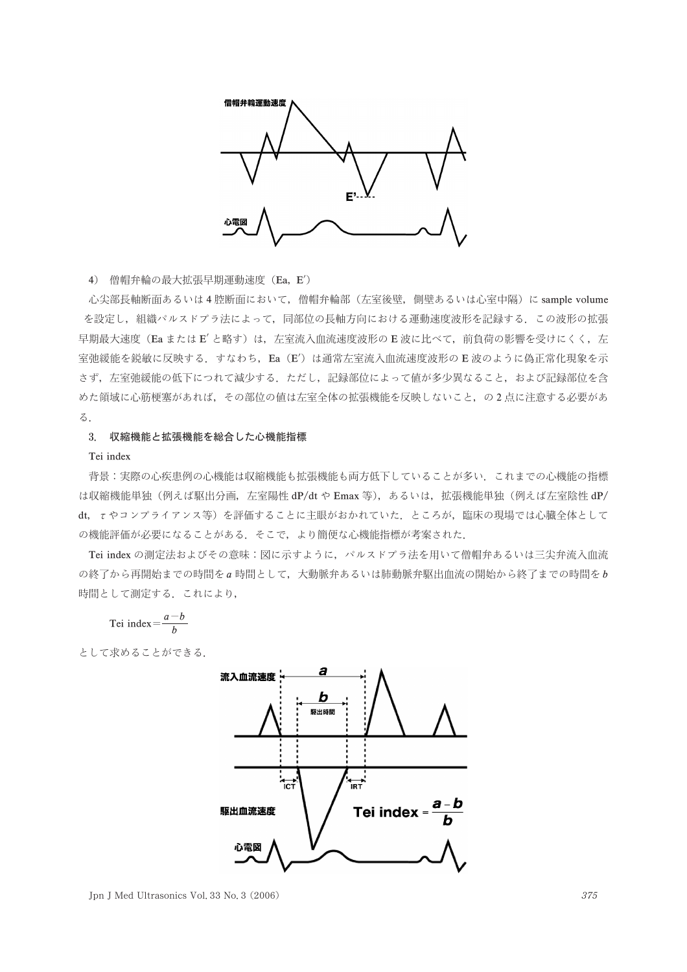

4) 僧帽弁輪の最大拡張早期運動速度 (Ea, E)

心尖部長軸断面あるいは 4 腔断面において, 僧帽弁輪部 (左室後壁, 側壁あるいは心室中隔) に sample volume を設定し, 組織パルスドプラ法によって, 同部位の長軸方向における運動速度波形を記録する. この波形の拡張 早期最大速度 (Ea または E' と略す) は, 左室流入血流速度波形の E 波に比べて, 前負荷の影響を受けにくく, 左 室弛緩能を鋭敏に反映する. すなわち, Ea (E) は通常左室流入血流速度波形の E 波のように偽正常化現象を示 さず, 左室弛緩能の低下につれて減少する. ただし, 記録部位によって値が多少異なること, および記録部位を含 めた領域に心筋梗塞があれば, その部位の値は左室全体の拡張機能を反映しないこと, の 2 点に注意する必要があ る.

### **3**. 収縮機能と拡張機能を総合した心機能指標

#### Tei index

背景:実際の心疾患例の心機能は収縮機能も拡張機能も両方低下していることが多い. これまでの心機能の指標 は収縮機能単独(例えば駆出分画,左室陽性 dP/dt や Emax 等),あるいは,拡張機能単独(例えば左室陰性 dP/ dt, τやコンプライアンス等) を評価することに主眼がおかれていた. ところが, 臨床の現場では心臓全体として の機能評価が必要になることがある. そこで, より簡便な心機能指標が考案された.

Tei index の測定法およびその意味:図に示すように, パルスドプラ法を用いて僧帽弁あるいは三尖弁流入血流 の終了から再開始までの時間を a 時間として, 大動脈弁あるいは肺動脈弁駆出血流の開始から終了までの時間を b 時間として測定する. これにより,

$$
Tei index = \frac{a-b}{b}
$$

として求めることができる.

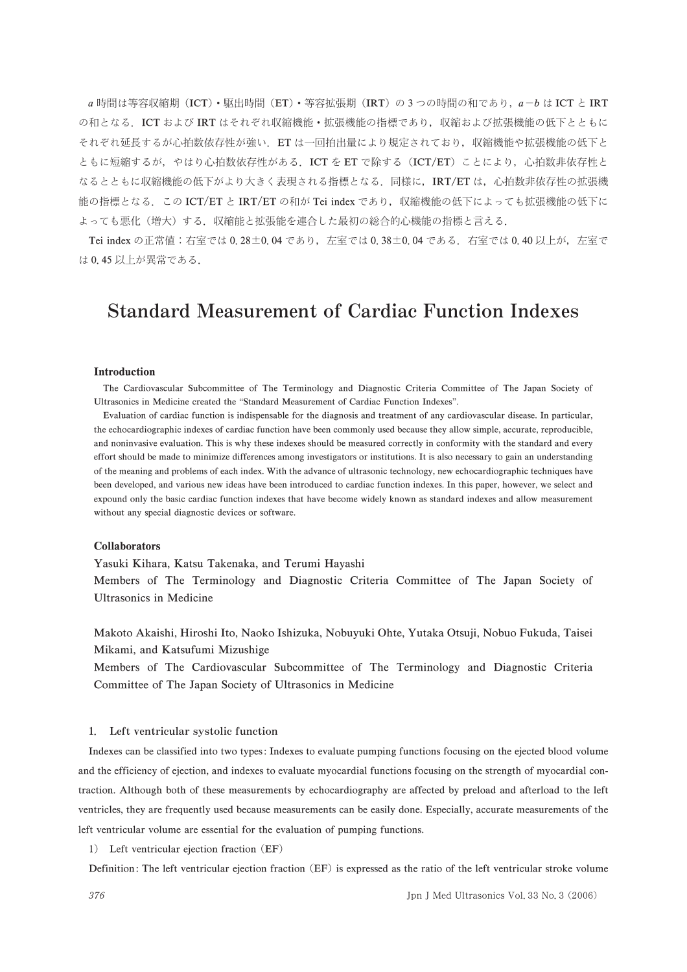a 時間は等容収縮期 (ICT)・駆出時間 (ET)・等容拡張期 (IRT) の 3 つの時間の和であり, a-b は ICT と IRT の和となる. ICT および IRT はそれぞれ収縮機能・拡張機能の指標であり, 収縮および拡張機能の低下とともに それぞれ延長するが心拍数依存性が強い. ET は一回拍出量により規定されており, 収縮機能や拡張機能の低下と ともに短縮するが、やはり心拍数依存性がある. ICT を ET で除する (ICT/ET) ことにより、心拍数非依存性と なるとともに収縮機能の低下がより大きく表現される指標となる. 同様に, IRT/ET は, 心拍数非依存性の拡張機 能の指標となる. この ICT/ET と IRT/ET の和が Tei index であり、収縮機能の低下によっても拡張機能の低下に よっても悪化 (増大) する. 収縮能と拡張能を連合した最初の総合的心機能の指標と言える.

Tei index の正常値:右室では 0.28±0.04 であり, 左室では 0.38±0.04 である. 右室では 0.40 以上が, 左室で は 0.45 以上が異常である.

# **Standard Measurement of Cardiac Function Indexes**

#### **Introduction**

The Cardiovascular Subcommittee of The Terminology and Diagnostic Criteria Committee of The Japan Society of Ultrasonics in Medicine created the "Standard Measurement of Cardiac Function Indexes".

Evaluation of cardiac function is indispensable for the diagnosis and treatment of any cardiovascular disease. In particular, the echocardiographic indexes of cardiac function have been commonly used because they allow simple, accurate, reproducible, and noninvasive evaluation. This is why these indexes should be measured correctly in conformity with the standard and every effort should be made to minimize differences among investigators or institutions. It is also necessary to gain an understanding of the meaning and problems of each index. With the advance of ultrasonic technology, new echocardiographic techniques have been developed, and various new ideas have been introduced to cardiac function indexes. In this paper, however, we select and expound only the basic cardiac function indexes that have become widely known as standard indexes and allow measurement without any special diagnostic devices or software.

#### **Collaborators**

Yasuki Kihara, Katsu Takenaka, and Terumi Hayashi

Members of The Terminology and Diagnostic Criteria Committee of The Japan Society of Ultrasonics in Medicine

Makoto Akaishi, Hiroshi Ito, Naoko Ishizuka, Nobuyuki Ohte, Yutaka Otsuji, Nobuo Fukuda, Taisei Mikami, and Katsufumi Mizushige

Members of The Cardiovascular Subcommittee of The Terminology and Diagnostic Criteria Committee of The Japan Society of Ultrasonics in Medicine

#### **1**. **Left ventricular systolic function**

Indexes can be classified into two types : Indexes to evaluate pumping functions focusing on the ejected blood volume and the efficiency of ejection, and indexes to evaluate myocardial functions focusing on the strength of myocardial contraction. Although both of these measurements by echocardiography are affected by preload and afterload to the left ventricles, they are frequently used because measurements can be easily done. Especially, accurate measurements of the left ventricular volume are essential for the evaluation of pumping functions.

1) Left ventricular ejection fraction (EF)

Definition: The left ventricular ejection fraction (EF) is expressed as the ratio of the left ventricular stroke volume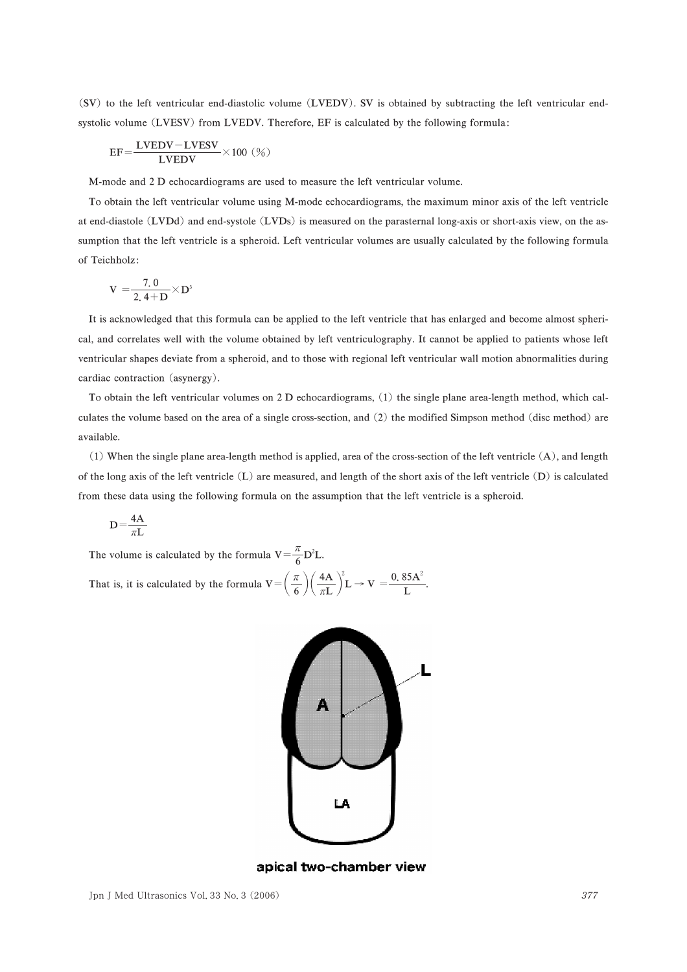(SV) to the left ventricular end-diastolic volume (LVEDV). SV is obtained by subtracting the left ventricular endsystolic volume (LVESV) from LVEDV. Therefore, EF is calculated by the following formula :

$$
EF\!=\!\frac{LVEDV\!-\!LVESV}{LVEDV}\!\times\!100~(\%)
$$

M-mode and 2 D echocardiograms are used to measure the left ventricular volume.

To obtain the left ventricular volume using M-mode echocardiograms, the maximum minor axis of the left ventricle at end-diastole (LVDd) and end-systole (LVDs) is measured on the parasternal long-axis or short-axis view, on the assumption that the left ventricle is a spheroid. Left ventricular volumes are usually calculated by the following formula of Teichholz:

$$
V=\frac{7.0}{2.4\!+\!D}\!\!\times\!D^3
$$

It is acknowledged that this formula can be applied to the left ventricle that has enlarged and become almost spherical, and correlates well with the volume obtained by left ventriculography. It cannot be applied to patients whose left ventricular shapes deviate from a spheroid, and to those with regional left ventricular wall motion abnormalities during cardiac contraction (asynergy).

To obtain the left ventricular volumes on 2 D echocardiograms, (1) the single plane area-length method, which calculates the volume based on the area of a single cross-section, and (2) the modified Simpson method (disc method) are available.

(1) When the single plane area-length method is applied, area of the cross-section of the left ventricle (A), and length of the long axis of the left ventricle (L) are measured, and length of the short axis of the left ventricle (D) is calculated from these data using the following formula on the assumption that the left ventricle is a spheroid.

$$
D\!=\!\frac{4A}{\pi L}
$$

The volume is calculated by the formula  $V = \frac{\pi}{6}D^2L$ .

That is, it is calculated by the formula  $V = \left(\frac{\pi}{6}\right)$ 4A  $\langle \pi L \rangle$  $L^2$   $\rightarrow$  V =  $\frac{0.85A^2}{L}$ .



apical two-chamber view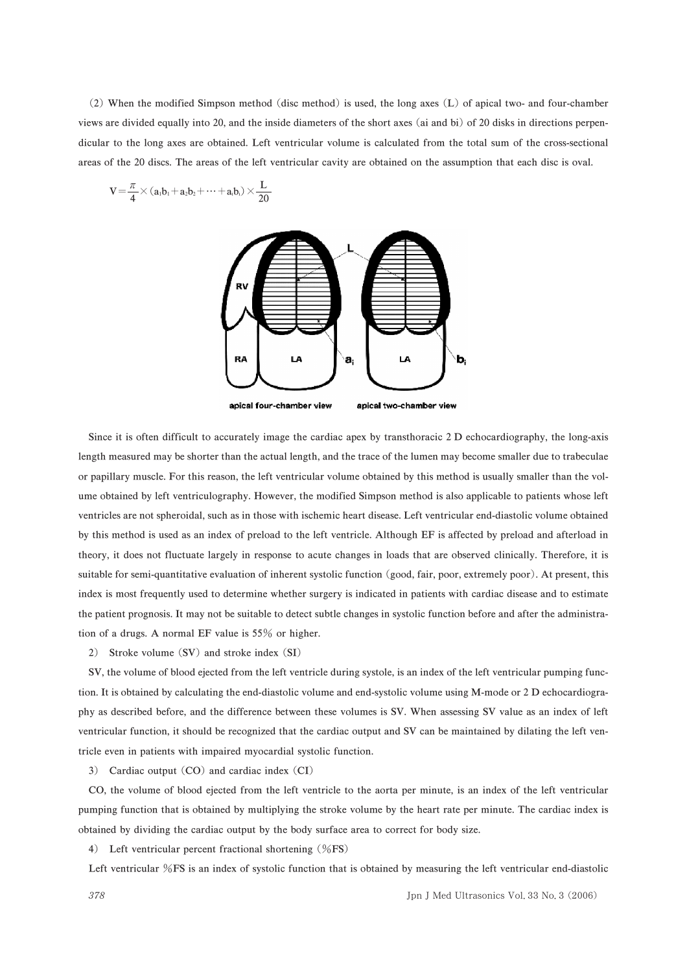(2) When the modified Simpson method (disc method) is used, the long axes (L) of apical two- and four-chamber views are divided equally into 20, and the inside diameters of the short axes (ai and bi) of 20 disks in directions perpendicular to the long axes are obtained. Left ventricular volume is calculated from the total sum of the cross-sectional areas of the 20 discs. The areas of the left ventricular cavity are obtained on the assumption that each disc is oval.

$$
V\!=\!\frac{\pi}{4}\!\times\!\left(a_{\scriptscriptstyle 1} b_{\scriptscriptstyle 1}\!+\!a_{\scriptscriptstyle 2} b_{\scriptscriptstyle 2}\!+\!\cdots\!+\!a_{\scriptscriptstyle i} b_{\scriptscriptstyle i}\right)\!\times\!\frac{L}{20}
$$



apical four-chamber view apical two-chamber view

Since it is often difficult to accurately image the cardiac apex by transthoracic 2 D echocardiography, the long-axis length measured may be shorter than the actual length, and the trace of the lumen may become smaller due to trabeculae or papillary muscle. For this reason, the left ventricular volume obtained by this method is usually smaller than the volume obtained by left ventriculography. However, the modified Simpson method is also applicable to patients whose left ventricles are not spheroidal, such as in those with ischemic heart disease. Left ventricular end-diastolic volume obtained by this method is used as an index of preload to the left ventricle. Although EF is affected by preload and afterload in theory, it does not fluctuate largely in response to acute changes in loads that are observed clinically. Therefore, it is suitable for semi-quantitative evaluation of inherent systolic function (good, fair, poor, extremely poor). At present, this index is most frequently used to determine whether surgery is indicated in patients with cardiac disease and to estimate the patient prognosis. It may not be suitable to detect subtle changes in systolic function before and after the administration of a drugs. A normal EF value is 55% or higher.

2) Stroke volume (SV) and stroke index (SI)

SV, the volume of blood ejected from the left ventricle during systole, is an index of the left ventricular pumping function. It is obtained by calculating the end-diastolic volume and end-systolic volume using M-mode or 2 D echocardiography as described before, and the difference between these volumes is SV. When assessing SV value as an index of left ventricular function, it should be recognized that the cardiac output and SV can be maintained by dilating the left ventricle even in patients with impaired myocardial systolic function.

3) Cardiac output (CO) and cardiac index (CI)

CO, the volume of blood ejected from the left ventricle to the aorta per minute, is an index of the left ventricular pumping function that is obtained by multiplying the stroke volume by the heart rate per minute. The cardiac index is obtained by dividing the cardiac output by the body surface area to correct for body size.

4) Left ventricular percent fractional shortening (%FS)

Left ventricular %FS is an index of systolic function that is obtained by measuring the left ventricular end-diastolic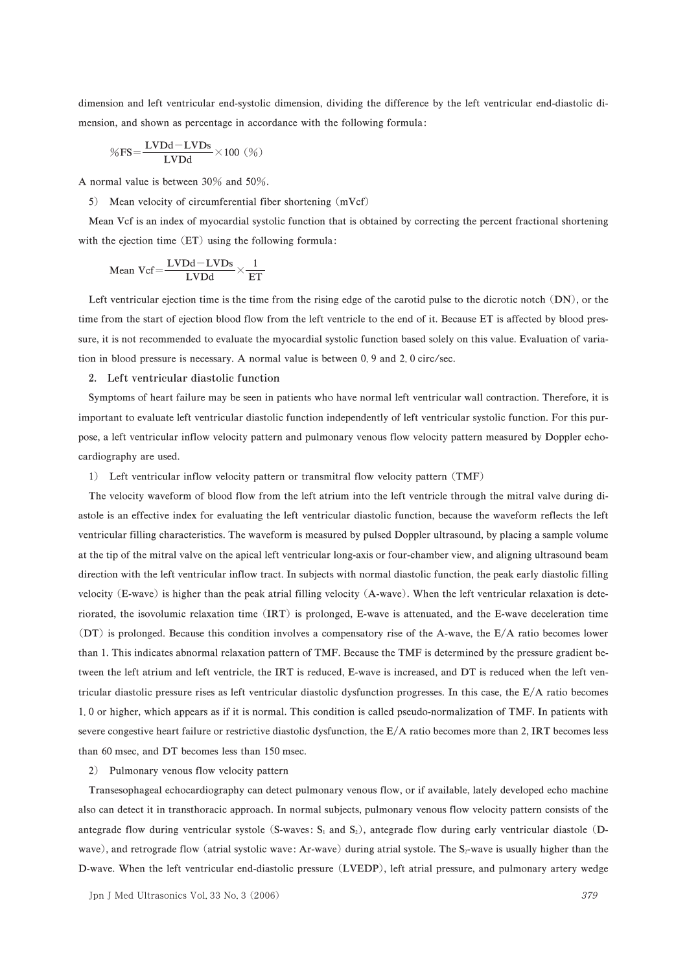dimension and left ventricular end-systolic dimension, dividing the difference by the left ventricular end-diastolic dimension, and shown as percentage in accordance with the following formula :

$$
\%FS = \frac{LVDd - LVDs}{LVDd} \times 100~(\%)
$$

A normal value is between 30% and 50%.

5) Mean velocity of circumferential fiber shortening (mVcf)

Mean Vcf is an index of myocardial systolic function that is obtained by correcting the percent fractional shortening with the ejection time (ET) using the following formula :

$$
\text{Mean Vcf}\!=\!\frac{\text{LVDd}\!-\!\text{LVDs}}{\text{LVDd}}\!\times\!\frac{1}{\text{ET}}
$$

Left ventricular ejection time is the time from the rising edge of the carotid pulse to the dicrotic notch (DN), or the time from the start of ejection blood flow from the left ventricle to the end of it. Because ET is affected by blood pressure, it is not recommended to evaluate the myocardial systolic function based solely on this value. Evaluation of variation in blood pressure is necessary. A normal value is between 0.9 and 2.0 circ/sec.

#### **2. Left ventricular diastolic function**

Symptoms of heart failure may be seen in patients who have normal left ventricular wall contraction. Therefore, it is important to evaluate left ventricular diastolic function independently of left ventricular systolic function. For this purpose, a left ventricular inflow velocity pattern and pulmonary venous flow velocity pattern measured by Doppler echocardiography are used.

#### 1) Left ventricular inflow velocity pattern or transmitral flow velocity pattern (TMF)

The velocity waveform of blood flow from the left atrium into the left ventricle through the mitral valve during diastole is an effective index for evaluating the left ventricular diastolic function, because the waveform reflects the left ventricular filling characteristics. The waveform is measured by pulsed Doppler ultrasound, by placing a sample volume at the tip of the mitral valve on the apical left ventricular long-axis or four-chamber view, and aligning ultrasound beam direction with the left ventricular inflow tract. In subjects with normal diastolic function, the peak early diastolic filling velocity (E-wave) is higher than the peak atrial filling velocity (A-wave). When the left ventricular relaxation is deteriorated, the isovolumic relaxation time (IRT) is prolonged, E-wave is attenuated, and the E-wave deceleration time (DT) is prolonged. Because this condition involves a compensatory rise of the A-wave, the EA ratio becomes lower than 1. This indicates abnormal relaxation pattern of TMF. Because the TMF is determined by the pressure gradient between the left atrium and left ventricle, the IRT is reduced, E-wave is increased, and DT is reduced when the left ventricular diastolic pressure rises as left ventricular diastolic dysfunction progresses. In this case, the  $E/A$  ratio becomes 1.0 or higher, which appears as if it is normal. This condition is called pseudo-normalization of TMF. In patients with severe congestive heart failure or restrictive diastolic dysfunction, the  $E/A$  ratio becomes more than 2, IRT becomes less than 60 msec, and DT becomes less than 150 msec.

#### 2) Pulmonary venous flow velocity pattern

Transesophageal echocardiography can detect pulmonary venous flow, or if available, lately developed echo machine also can detect it in transthoracic approach. In normal subjects, pulmonary venous flow velocity pattern consists of the antegrade flow during ventricular systole (S-waves:  $S_1$  and  $S_2$ ), antegrade flow during early ventricular diastole (Dwave), and retrograde flow (atrial systolic wave: Ar-wave) during atrial systole. The S<sub>2</sub>-wave is usually higher than the D-wave. When the left ventricular end-diastolic pressure (LVEDP), left atrial pressure, and pulmonary artery wedge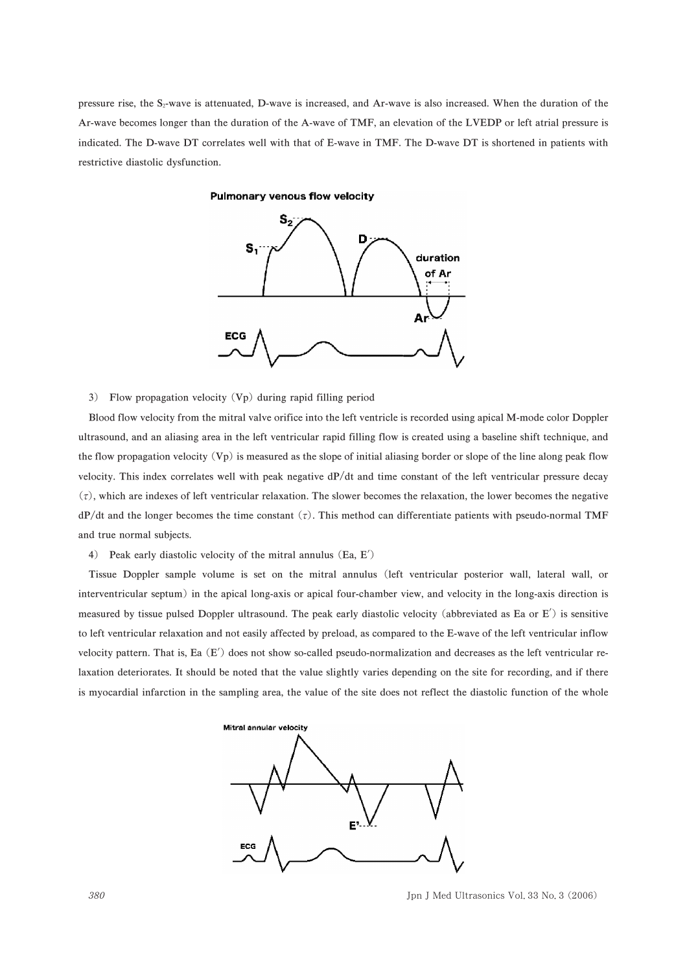pressure rise, the S2-wave is attenuated, D-wave is increased, and Ar-wave is also increased. When the duration of the Ar-wave becomes longer than the duration of the A-wave of TMF, an elevation of the LVEDP or left atrial pressure is indicated. The D-wave DT correlates well with that of E-wave in TMF. The D-wave DT is shortened in patients with restrictive diastolic dysfunction.

Pulmonary venous flow velocity



#### 3) Flow propagation velocity (Vp) during rapid filling period

Blood flow velocity from the mitral valve orifice into the left ventricle is recorded using apical M-mode color Doppler ultrasound, and an aliasing area in the left ventricular rapid filling flow is created using a baseline shift technique, and the flow propagation velocity  $(Vp)$  is measured as the slope of initial aliasing border or slope of the line along peak flow velocity. This index correlates well with peak negative  $dP/dt$  and time constant of the left ventricular pressure decay  $(\tau)$ , which are indexes of left ventricular relaxation. The slower becomes the relaxation, the lower becomes the negative  $dP/dt$  and the longer becomes the time constant  $(\tau)$ . This method can differentiate patients with pseudo-normal TMF and true normal subjects.

4) Peak early diastolic velocity of the mitral annulus  $(Ea, E')$ 

Tissue Doppler sample volume is set on the mitral annulus (left ventricular posterior wall, lateral wall, or interventricular septum) in the apical long-axis or apical four-chamber view, and velocity in the long-axis direction is measured by tissue pulsed Doppler ultrasound. The peak early diastolic velocity (abbreviated as Ea or  $E'$ ) is sensitive to left ventricular relaxation and not easily affected by preload, as compared to the E-wave of the left ventricular inflow velocity pattern. That is, Ea  $(E')$  does not show so-called pseudo-normalization and decreases as the left ventricular relaxation deteriorates. It should be noted that the value slightly varies depending on the site for recording, and if there is myocardial infarction in the sampling area, the value of the site does not reflect the diastolic function of the whole